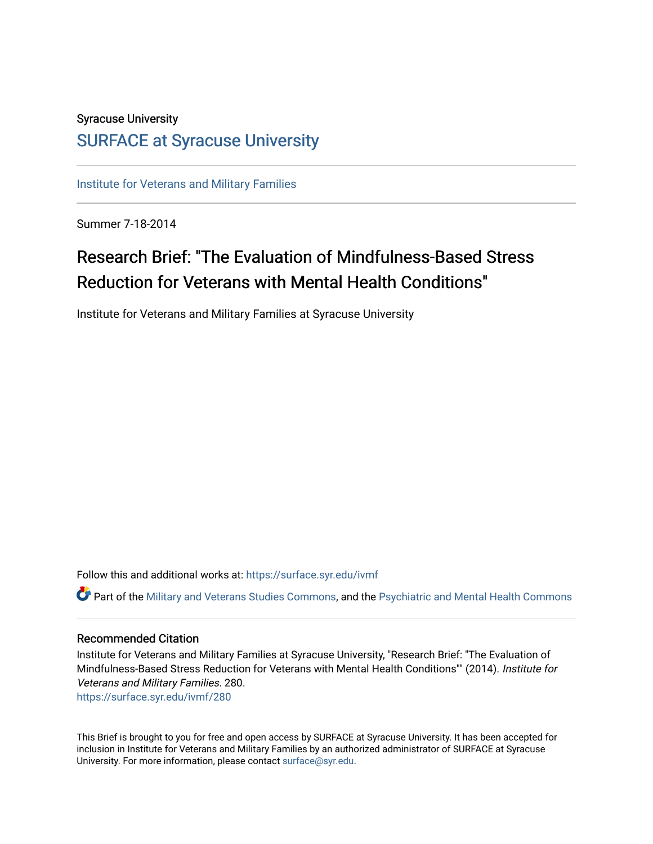### Syracuse University [SURFACE at Syracuse University](https://surface.syr.edu/)

[Institute for Veterans and Military Families](https://surface.syr.edu/ivmf)

Summer 7-18-2014

## Research Brief: "The Evaluation of Mindfulness-Based Stress Reduction for Veterans with Mental Health Conditions"

Institute for Veterans and Military Families at Syracuse University

Follow this and additional works at: [https://surface.syr.edu/ivmf](https://surface.syr.edu/ivmf?utm_source=surface.syr.edu%2Fivmf%2F280&utm_medium=PDF&utm_campaign=PDFCoverPages) 

Part of the [Military and Veterans Studies Commons](http://network.bepress.com/hgg/discipline/396?utm_source=surface.syr.edu%2Fivmf%2F280&utm_medium=PDF&utm_campaign=PDFCoverPages), and the [Psychiatric and Mental Health Commons](http://network.bepress.com/hgg/discipline/711?utm_source=surface.syr.edu%2Fivmf%2F280&utm_medium=PDF&utm_campaign=PDFCoverPages) 

#### Recommended Citation

Institute for Veterans and Military Families at Syracuse University, "Research Brief: "The Evaluation of Mindfulness-Based Stress Reduction for Veterans with Mental Health Conditions"" (2014). Institute for Veterans and Military Families. 280. [https://surface.syr.edu/ivmf/280](https://surface.syr.edu/ivmf/280?utm_source=surface.syr.edu%2Fivmf%2F280&utm_medium=PDF&utm_campaign=PDFCoverPages) 

This Brief is brought to you for free and open access by SURFACE at Syracuse University. It has been accepted for inclusion in Institute for Veterans and Military Families by an authorized administrator of SURFACE at Syracuse University. For more information, please contact [surface@syr.edu.](mailto:surface@syr.edu)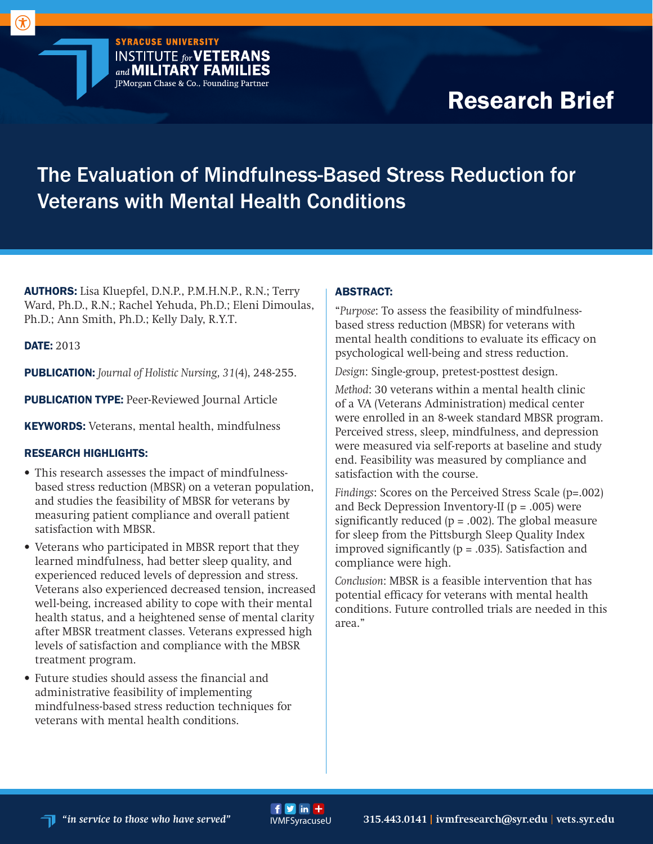# Research Brief

## The Evaluation of Mindfulness-Based Stress Reduction for Veterans with Mental Health Conditions

AUTHORS: Lisa Kluepfel, D.N.P., P.M.H.N.P., R.N.; Terry Ward, Ph.D., R.N.; Rachel Yehuda, Ph.D.; Eleni Dimoulas, Ph.D.; Ann Smith, Ph.D.; Kelly Daly, R.Y.T.

**SYRACUSE UNIVERSITY** 

**INSTITUTE** for **VETERANS** and **MILITARY FAMILIES** JPMorgan Chase & Co., Founding Partner

DATE: 2013

 $\left( \mathbf{\hat{\pi}}\right)$ 

PUBLICATION: *Journal of Holistic Nursing, 31*(4), 248-255.

**PUBLICATION TYPE: Peer-Reviewed Journal Article** 

KEYWORDS: Veterans, mental health, mindfulness

#### RESEARCH HIGHLIGHTS:

- This research assesses the impact of mindfulnessbased stress reduction (MBSR) on a veteran population, and studies the feasibility of MBSR for veterans by measuring patient compliance and overall patient satisfaction with MBSR.
- Veterans who participated in MBSR report that they learned mindfulness, had better sleep quality, and experienced reduced levels of depression and stress. Veterans also experienced decreased tension, increased well-being, increased ability to cope with their mental health status, and a heightened sense of mental clarity after MBSR treatment classes. Veterans expressed high levels of satisfaction and compliance with the MBSR treatment program.
- Future studies should assess the financial and administrative feasibility of implementing mindfulness-based stress reduction techniques for veterans with mental health conditions.

#### ABSTRACT:

"*Purpose*: To assess the feasibility of mindfulnessbased stress reduction (MBSR) for veterans with mental health conditions to evaluate its efficacy on psychological well-being and stress reduction.

*Design*: Single-group, pretest-posttest design.

*Method*: 30 veterans within a mental health clinic of a VA (Veterans Administration) medical center were enrolled in an 8-week standard MBSR program. Perceived stress, sleep, mindfulness, and depression were measured via self-reports at baseline and study end. Feasibility was measured by compliance and satisfaction with the course.

*Findings*: Scores on the Perceived Stress Scale (p=.002) and Beck Depression Inventory-II ( $p = .005$ ) were significantly reduced  $(p = .002)$ . The global measure for sleep from the Pittsburgh Sleep Quality Index improved significantly  $(p = .035)$ . Satisfaction and compliance were high.

*Conclusion*: MBSR is a feasible intervention that has potential efficacy for veterans with mental health conditions. Future controlled trials are needed in this area."